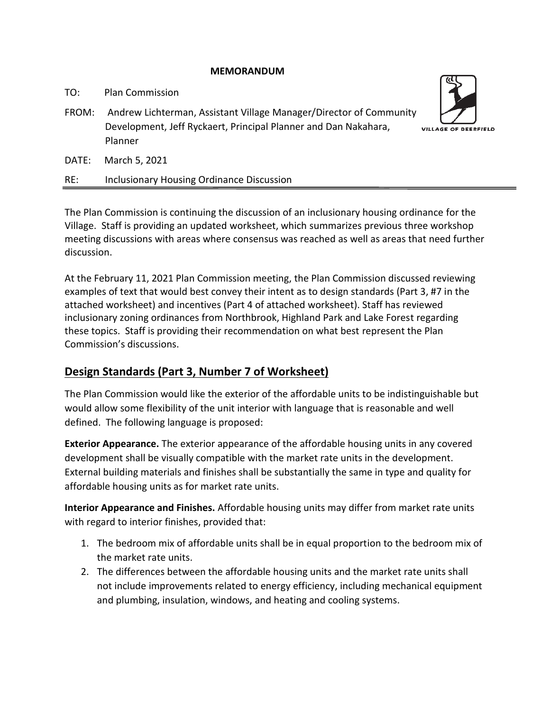### **MEMORANDUM**

TO: Plan Commission

FROM: Andrew Lichterman, Assistant Village Manager/Director of Community Development, Jeff Ryckaert, Principal Planner and Dan Nakahara, Planner



RE: Inclusionary Housing Ordinance Discussion

The Plan Commission is continuing the discussion of an inclusionary housing ordinance for the Village. Staff is providing an updated worksheet, which summarizes previous three workshop meeting discussions with areas where consensus was reached as well as areas that need further discussion.

At the February 11, 2021 Plan Commission meeting, the Plan Commission discussed reviewing examples of text that would best convey their intent as to design standards (Part 3, #7 in the attached worksheet) and incentives (Part 4 of attached worksheet). Staff has reviewed inclusionary zoning ordinances from Northbrook, Highland Park and Lake Forest regarding these topics. Staff is providing their recommendation on what best represent the Plan Commission's discussions.

## **Design Standards (Part 3, Number 7 of Worksheet)**

The Plan Commission would like the exterior of the affordable units to be indistinguishable but would allow some flexibility of the unit interior with language that is reasonable and well defined. The following language is proposed:

**Exterior Appearance.** The exterior appearance of the affordable housing units in any covered development shall be visually compatible with the market rate units in the development. External building materials and finishes shall be substantially the same in type and quality for affordable housing units as for market rate units.

**Interior Appearance and Finishes.** Affordable housing units may differ from market rate units with regard to interior finishes, provided that:

- 1. The bedroom mix of affordable units shall be in equal proportion to the bedroom mix of the market rate units.
- 2. The differences between the affordable housing units and the market rate units shall not include improvements related to energy efficiency, including mechanical equipment and plumbing, insulation, windows, and heating and cooling systems.

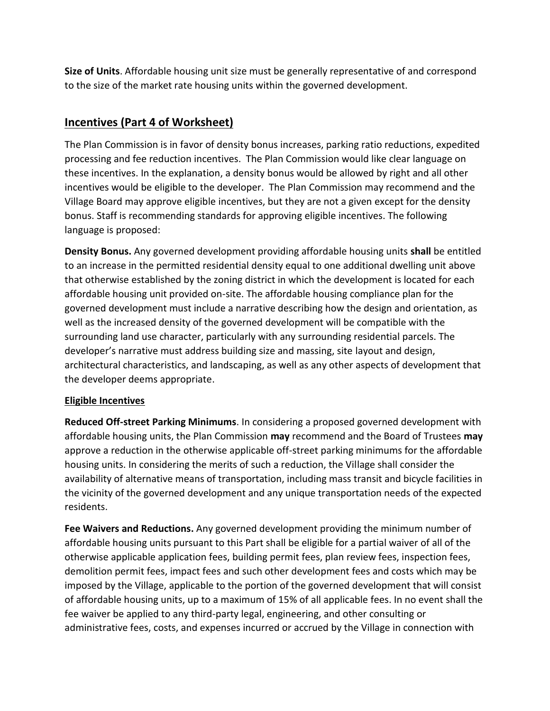**Size of Units**. Affordable housing unit size must be generally representative of and correspond to the size of the market rate housing units within the governed development.

## **Incentives (Part 4 of Worksheet)**

The Plan Commission is in favor of density bonus increases, parking ratio reductions, expedited processing and fee reduction incentives. The Plan Commission would like clear language on these incentives. In the explanation, a density bonus would be allowed by right and all other incentives would be eligible to the developer. The Plan Commission may recommend and the Village Board may approve eligible incentives, but they are not a given except for the density bonus. Staff is recommending standards for approving eligible incentives. The following language is proposed:

**Density Bonus.** Any governed development providing affordable housing units **shall** be entitled to an increase in the permitted residential density equal to one additional dwelling unit above that otherwise established by the zoning district in which the development is located for each affordable housing unit provided on-site. The affordable housing compliance plan for the governed development must include a narrative describing how the design and orientation, as well as the increased density of the governed development will be compatible with the surrounding land use character, particularly with any surrounding residential parcels. The developer's narrative must address building size and massing, site layout and design, architectural characteristics, and landscaping, as well as any other aspects of development that the developer deems appropriate.

## **Eligible Incentives**

**Reduced Off-street Parking Minimums**. In considering a proposed governed development with affordable housing units, the Plan Commission **may** recommend and the Board of Trustees **may** approve a reduction in the otherwise applicable off-street parking minimums for the affordable housing units. In considering the merits of such a reduction, the Village shall consider the availability of alternative means of transportation, including mass transit and bicycle facilities in the vicinity of the governed development and any unique transportation needs of the expected residents.

**Fee Waivers and Reductions.** Any governed development providing the minimum number of affordable housing units pursuant to this Part shall be eligible for a partial waiver of all of the otherwise applicable application fees, building permit fees, plan review fees, inspection fees, demolition permit fees, impact fees and such other development fees and costs which may be imposed by the Village, applicable to the portion of the governed development that will consist of affordable housing units, up to a maximum of 15% of all applicable fees. In no event shall the fee waiver be applied to any third-party legal, engineering, and other consulting or administrative fees, costs, and expenses incurred or accrued by the Village in connection with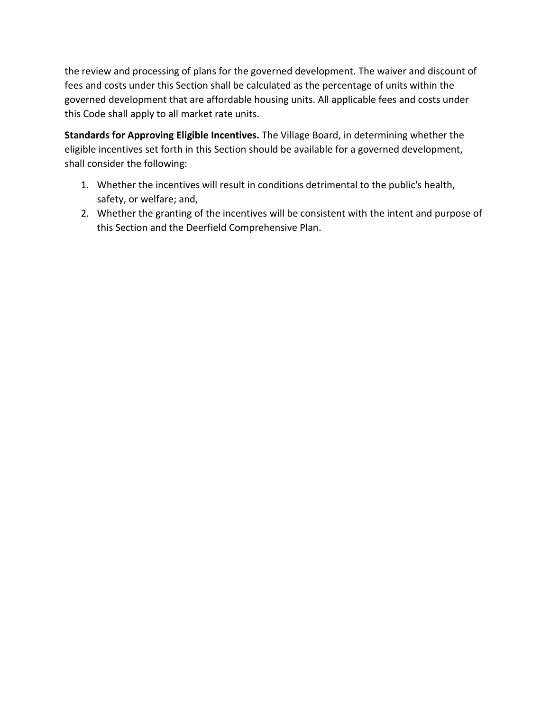the review and processing of plans for the governed development. The waiver and discount of fees and costs under this Section shall be calculated as the percentage of units within the governed development that are affordable housing units. All applicable fees and costs under this Code shall apply to all market rate units.

**Standards for Approving Eligible Incentives.** The Village Board, in determining whether the eligible incentives set forth in this Section should be available for a governed development, shall consider the following:

- 1. Whether the incentives will result in conditions detrimental to the public's health, safety, or welfare; and,
- 2. Whether the granting of the incentives will be consistent with the intent and purpose of this Section and the Deerfield Comprehensive Plan.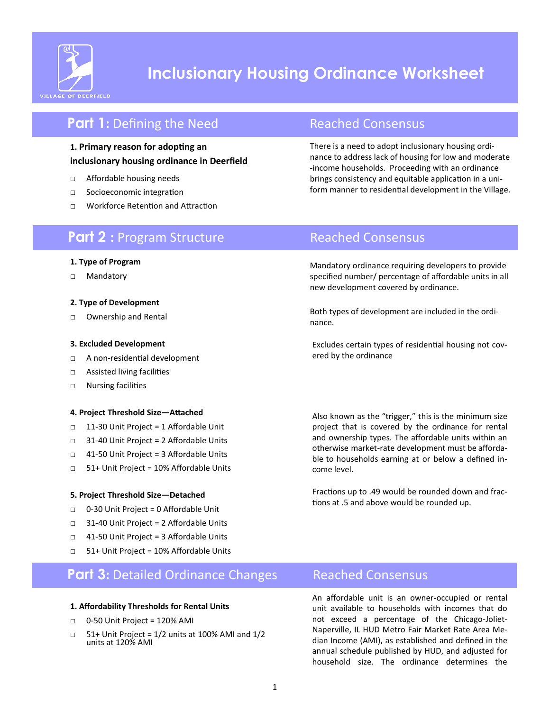

# **Inclusionary Housing Ordinance Worksheet**

## **Part 1:** Defining the Need Reached Consensus

### **1. Primary reason for adopting an inclusionary housing ordinance in Deerfield**

- □ Affordable housing needs
- □ Socioeconomic integration
- □ Workforce Retention and Attraction

There is a need to adopt inclusionary housing ordinance to address lack of housing for low and moderate -income households. Proceeding with an ordinance brings consistency and equitable application in a uniform manner to residential development in the Village.

## **Part 2** : Program Structure Reached Consensus

Mandatory ordinance requiring developers to provide specified number/ percentage of affordable units in all new development covered by ordinance.

Both types of development are included in the ordinance.

Excludes certain types of residential housing not covered by the ordinance

□ Assisted living facilities □ Nursing facilities

**3. Excluded Development**

**2. Type of Development** □ Ownership and Rental

**1. Type of Program** □ Mandatory

### **4. Project Threshold Size—Attached**

□ A non-residential development

- □ 11-30 Unit Project = 1 Affordable Unit
- □ 31-40 Unit Project = 2 Affordable Units
- □ 41-50 Unit Project = 3 Affordable Units
- □ 51+ Unit Project = 10% Affordable Units

#### **5. Project Threshold Size—Detached**

- □ 0-30 Unit Project = 0 Affordable Unit
- □ 31-40 Unit Project = 2 Affordable Units
- □ 41-50 Unit Project = 3 Affordable Units
- □ 51+ Unit Project = 10% Affordable Units

## **Part 3:** Detailed Ordinance Changes Reached Consensus

#### **1. Affordability Thresholds for Rental Units**

- □ 0-50 Unit Project = 120% AMI
- $\Box$  51+ Unit Project = 1/2 units at 100% AMI and 1/2 units at 120% AMI

Also known as the "trigger," this is the minimum size project that is covered by the ordinance for rental and ownership types. The affordable units within an otherwise market-rate development must be affordable to households earning at or below a defined income level.

Fractions up to .49 would be rounded down and fractions at .5 and above would be rounded up.

An affordable unit is an owner-occupied or rental unit available to households with incomes that do not exceed a percentage of the Chicago-Joliet-Naperville, IL HUD Metro Fair Market Rate Area Median Income (AMI), as established and defined in the annual schedule published by HUD, and adjusted for household size. The ordinance determines the